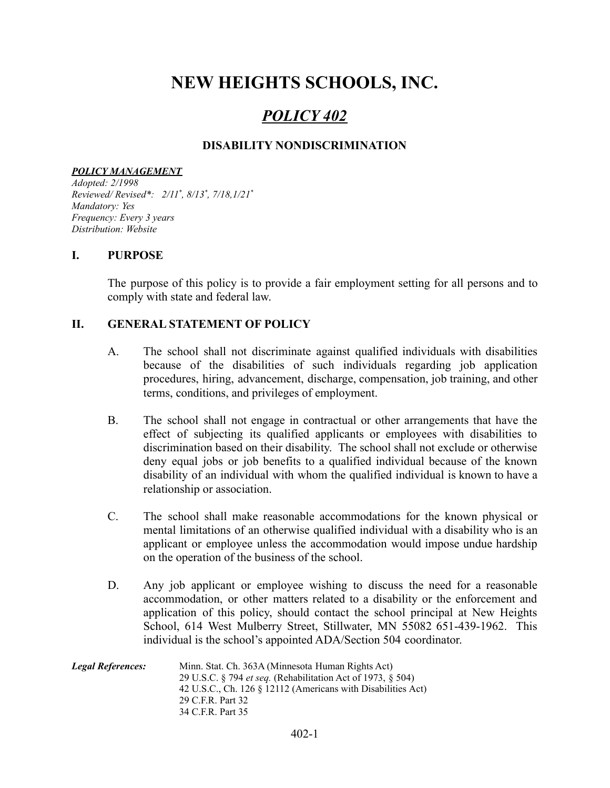# **NEW HEIGHTS SCHOOLS, INC.**

# *POLICY 402*

## **DISABILITY NONDISCRIMINATION**

#### *POLICY MANAGEMENT*

*Adopted: 2/1998 Reviewed/ Revised\*: 2/11 \* , 8/13 \* , 7/18,1/21 \* Mandatory: Yes Frequency: Every 3 years Distribution: Website*

#### **I. PURPOSE**

The purpose of this policy is to provide a fair employment setting for all persons and to comply with state and federal law.

### **II. GENERAL STATEMENT OF POLICY**

- A. The school shall not discriminate against qualified individuals with disabilities because of the disabilities of such individuals regarding job application procedures, hiring, advancement, discharge, compensation, job training, and other terms, conditions, and privileges of employment.
- B. The school shall not engage in contractual or other arrangements that have the effect of subjecting its qualified applicants or employees with disabilities to discrimination based on their disability. The school shall not exclude or otherwise deny equal jobs or job benefits to a qualified individual because of the known disability of an individual with whom the qualified individual is known to have a relationship or association.
- C. The school shall make reasonable accommodations for the known physical or mental limitations of an otherwise qualified individual with a disability who is an applicant or employee unless the accommodation would impose undue hardship on the operation of the business of the school.
- D. Any job applicant or employee wishing to discuss the need for a reasonable accommodation, or other matters related to a disability or the enforcement and application of this policy, should contact the school principal at New Heights School, 614 West Mulberry Street, Stillwater, MN 55082 651-439-1962. This individual is the school's appointed ADA/Section 504 coordinator.

| <b>Legal References:</b> | Minn. Stat. Ch. 363A (Minnesota Human Rights Act)                  |
|--------------------------|--------------------------------------------------------------------|
|                          | 29 U.S.C. § 794 <i>et seq.</i> (Rehabilitation Act of 1973, § 504) |
|                          | 42 U.S.C., Ch. 126 § 12112 (Americans with Disabilities Act)       |
|                          | 29 C.F.R. Part 32                                                  |
|                          | 34 C.F.R. Part 35                                                  |